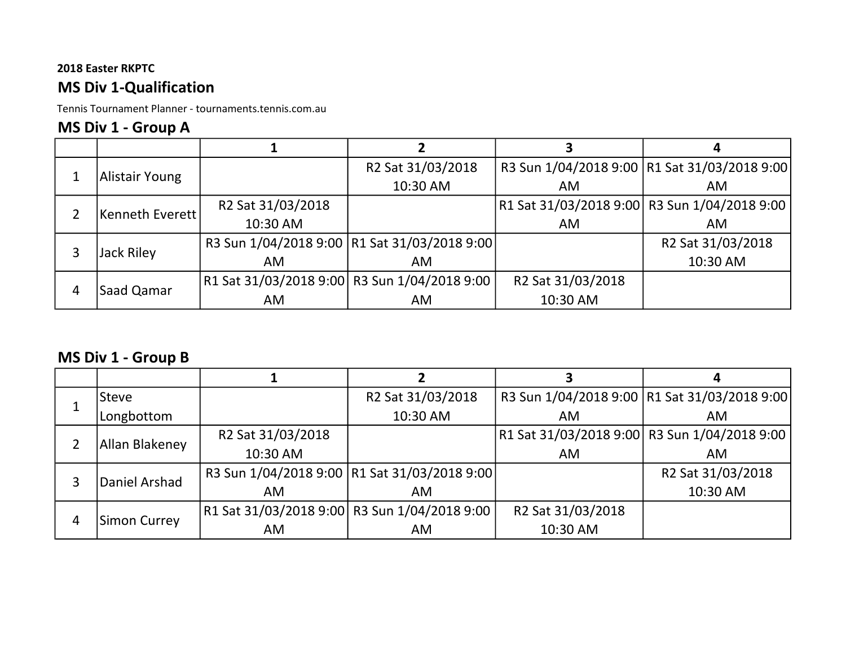# MS Div 1-Qualification

Tennis Tournament Planner - tournaments.tennis.com.au

# MS Div 1 - Group A

|   |                   |                                              | R2 Sat 31/03/2018                              |                                              | R3 Sun 1/04/2018 9:00   R1 Sat 31/03/2018 9:00 |
|---|-------------------|----------------------------------------------|------------------------------------------------|----------------------------------------------|------------------------------------------------|
|   | Alistair Young    |                                              | 10:30 AM                                       | <b>AM</b>                                    | AM.                                            |
|   | Kenneth Everett   | R2 Sat 31/03/2018                            |                                                | R1 Sat 31/03/2018 9:00 R3 Sun 1/04/2018 9:00 |                                                |
|   |                   | 10:30 AM                                     |                                                | AM                                           | AM                                             |
| 3 |                   |                                              | R3 Sun 1/04/2018 9:00   R1 Sat 31/03/2018 9:00 |                                              | R2 Sat 31/03/2018                              |
|   | <b>Jack Riley</b> | AM                                           | AM                                             |                                              | 10:30 AM                                       |
|   |                   | R1 Sat 31/03/2018 9:00 R3 Sun 1/04/2018 9:00 |                                                | R2 Sat 31/03/2018                            |                                                |
| 4 | Saad Qamar        | AM                                           | AM                                             | 10:30 AM                                     |                                                |

# MS Div 1 - Group B

|   | Steve          |                                              | R2 Sat 31/03/2018                              |                   | R3 Sun 1/04/2018 9:00   R1 Sat 31/03/2018 9:00 |
|---|----------------|----------------------------------------------|------------------------------------------------|-------------------|------------------------------------------------|
|   | Longbottom     |                                              | 10:30 AM                                       | AM                | AM                                             |
|   | Allan Blakeney | R2 Sat 31/03/2018                            |                                                |                   | R1 Sat 31/03/2018 9:00  R3 Sun 1/04/2018 9:00  |
|   |                | 10:30 AM                                     |                                                | AM                | AM                                             |
| 3 |                |                                              | R3 Sun 1/04/2018 9:00   R1 Sat 31/03/2018 9:00 |                   | R2 Sat 31/03/2018                              |
|   | Daniel Arshad  | AM                                           | AM                                             |                   | 10:30 AM                                       |
| 4 |                | R1 Sat 31/03/2018 9:00 R3 Sun 1/04/2018 9:00 |                                                | R2 Sat 31/03/2018 |                                                |
|   | Simon Currey   | AM.                                          | AM.                                            | 10:30 AM          |                                                |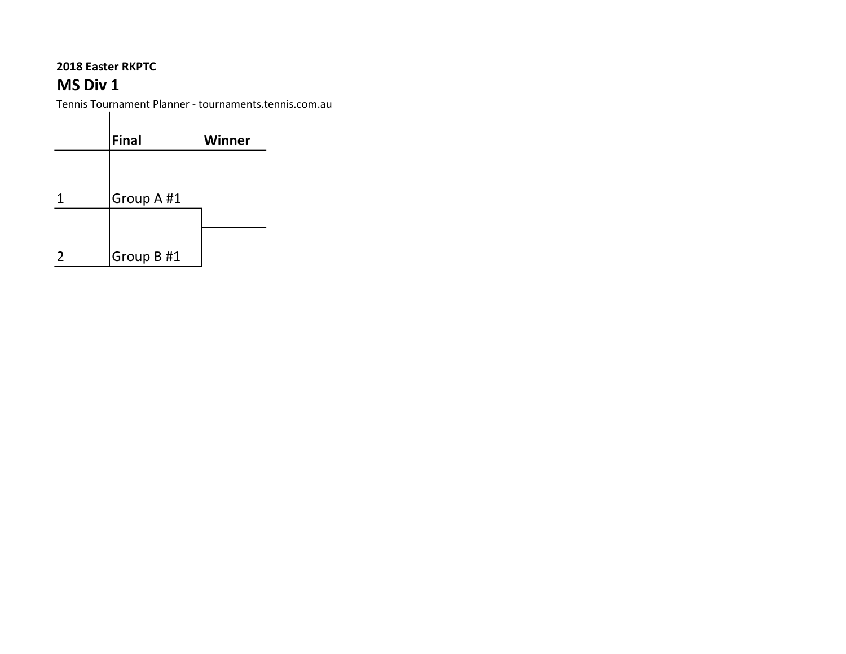# MS Div 1

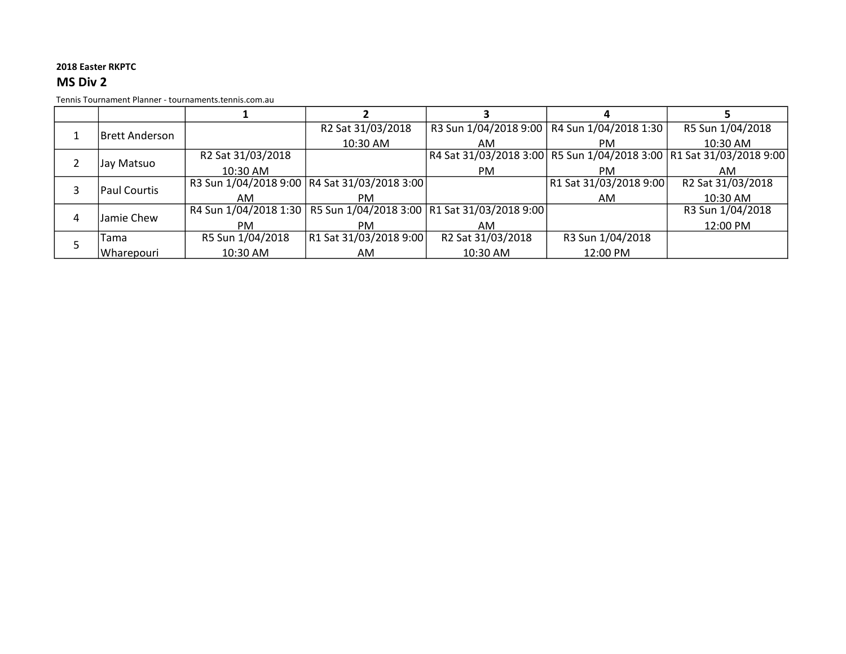### MS Div 2

|   | Brett Anderson_     |                   | R2 Sat 31/03/2018                                                      |                   | R3 Sun 1/04/2018 9:00   R4 Sun 1/04/2018 1:30 | R5 Sun 1/04/2018                                                    |
|---|---------------------|-------------------|------------------------------------------------------------------------|-------------------|-----------------------------------------------|---------------------------------------------------------------------|
|   |                     |                   | 10:30 AM                                                               | AM                | PM.                                           | 10:30 AM                                                            |
|   | Jay Matsuo          | R2 Sat 31/03/2018 |                                                                        |                   |                                               | R4 Sat 31/03/2018 3:00 R5 Sun 1/04/2018 3:00 R1 Sat 31/03/2018 9:00 |
|   |                     | 10:30 AM          |                                                                        | PM.               | PM.                                           | AM                                                                  |
|   | <b>Paul Courtis</b> |                   | R3 Sun 1/04/2018 9:00   R4 Sat 31/03/2018 3:00                         |                   | R1 Sat 31/03/2018 9:00                        | R2 Sat 31/03/2018                                                   |
|   |                     | AM.               | PM.                                                                    |                   | AM                                            | 10:30 AM                                                            |
| 4 | Jamie Chew          |                   | R4 Sun 1/04/2018 1:30   R5 Sun 1/04/2018 3:00   R1 Sat 31/03/2018 9:00 |                   |                                               | R3 Sun 1/04/2018                                                    |
|   |                     | PM                | PM.                                                                    | AM                |                                               | 12:00 PM                                                            |
|   | Tama                | R5 Sun 1/04/2018  | R1 Sat 31/03/2018 9:00                                                 | R2 Sat 31/03/2018 | R3 Sun 1/04/2018                              |                                                                     |
|   | l Wharepouri        | 10:30 AM          | AM.                                                                    | 10:30 AM          | 12:00 PM                                      |                                                                     |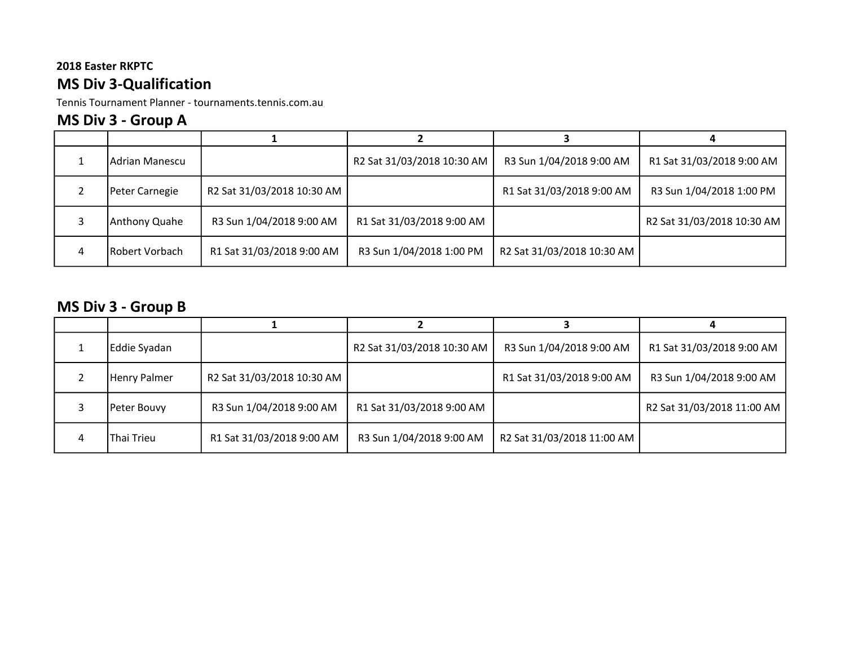# 2018 Easter RKPTC MS Div 3-Qualification

Tennis Tournament Planner - tournaments.tennis.com.au

# MS Div 3 - Group A

|   | lAdrian Manescu |                            | R2 Sat 31/03/2018 10:30 AM | R3 Sun 1/04/2018 9:00 AM   | R1 Sat 31/03/2018 9:00 AM  |
|---|-----------------|----------------------------|----------------------------|----------------------------|----------------------------|
|   | Peter Carnegie  | R2 Sat 31/03/2018 10:30 AM |                            | R1 Sat 31/03/2018 9:00 AM  | R3 Sun 1/04/2018 1:00 PM   |
|   | Anthony Quahe   | R3 Sun 1/04/2018 9:00 AM   | R1 Sat 31/03/2018 9:00 AM  |                            | R2 Sat 31/03/2018 10:30 AM |
| 4 | Robert Vorbach  | R1 Sat 31/03/2018 9:00 AM  | R3 Sun 1/04/2018 1:00 PM   | R2 Sat 31/03/2018 10:30 AM |                            |

# MS Div 3 - Group B

|   | Eddie Syadan |                            | R2 Sat 31/03/2018 10:30 AM | R3 Sun 1/04/2018 9:00 AM   | R1 Sat 31/03/2018 9:00 AM  |
|---|--------------|----------------------------|----------------------------|----------------------------|----------------------------|
|   | Henry Palmer | R2 Sat 31/03/2018 10:30 AM |                            | R1 Sat 31/03/2018 9:00 AM  | R3 Sun 1/04/2018 9:00 AM   |
|   | Peter Bouvy  | R3 Sun 1/04/2018 9:00 AM   | R1 Sat 31/03/2018 9:00 AM  |                            | R2 Sat 31/03/2018 11:00 AM |
| 4 | Thai Trieu   | R1 Sat 31/03/2018 9:00 AM  | R3 Sun 1/04/2018 9:00 AM   | R2 Sat 31/03/2018 11:00 AM |                            |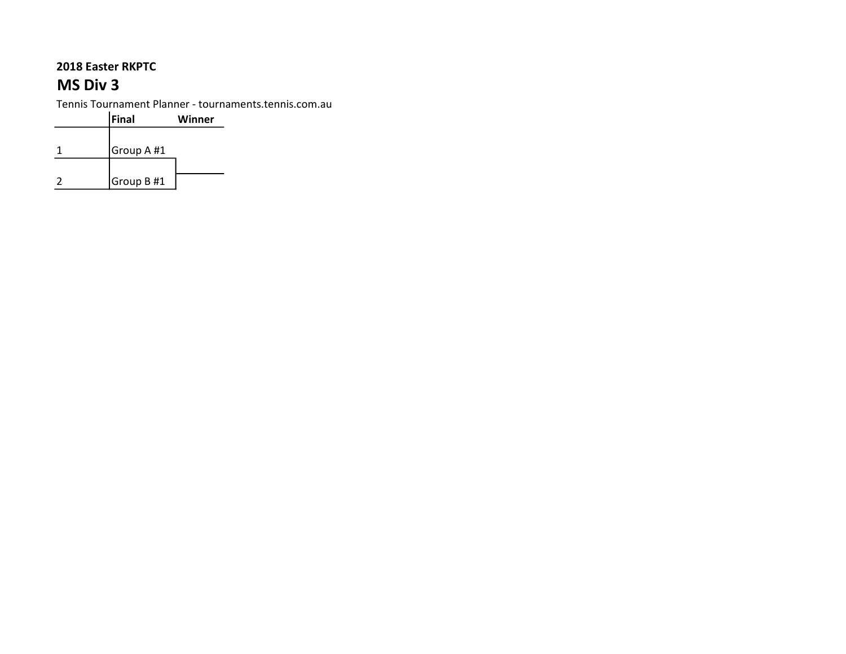# MS Div 3

| <b>Final</b> | Winner |
|--------------|--------|
|              |        |
| Group A #1   |        |
|              |        |
| Group B #1   |        |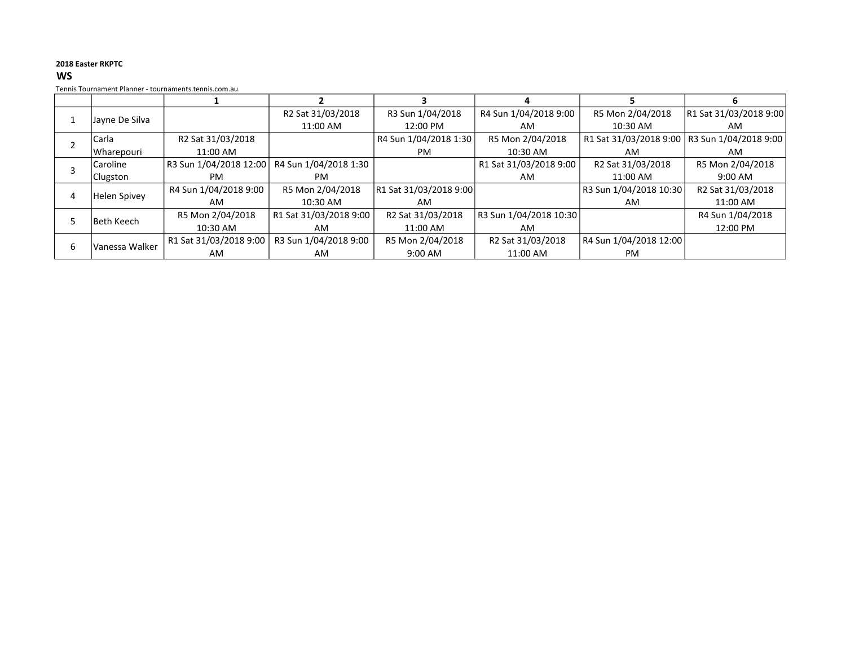#### WS

|                   |                        |                        |                        | 4                      |                        | n                      |
|-------------------|------------------------|------------------------|------------------------|------------------------|------------------------|------------------------|
|                   |                        | R2 Sat 31/03/2018      | R3 Sun 1/04/2018       | R4 Sun 1/04/2018 9:00  | R5 Mon 2/04/2018       | R1 Sat 31/03/2018 9:00 |
| Jayne De Silva    |                        | 11:00 AM               | 12:00 PM               | AM                     | 10:30 AM               | AM                     |
| <b>Carla</b>      | R2 Sat 31/03/2018      |                        | R4 Sun 1/04/2018 1:30  | R5 Mon 2/04/2018       | R1 Sat 31/03/2018 9:00 | R3 Sun 1/04/2018 9:00  |
| Wharepouri        | 11:00 AM               |                        | PM.                    | 10:30 AM               | AM                     | AM                     |
| Caroline          | R3 Sun 1/04/2018 12:00 | R4 Sun 1/04/2018 1:30  |                        | R1 Sat 31/03/2018 9:00 | R2 Sat 31/03/2018      | R5 Mon 2/04/2018       |
| Clugston          | <b>PM</b>              | PM.                    |                        | AM                     | 11:00 AM               | $9:00$ AM              |
|                   | R4 Sun 1/04/2018 9:00  | R5 Mon 2/04/2018       | R1 Sat 31/03/2018 9:00 |                        | R3 Sun 1/04/2018 10:30 | R2 Sat 31/03/2018      |
| Helen Spivey      | AM                     | 10:30 AM               | AM                     |                        | AM                     | 11:00 AM               |
| <b>Beth Keech</b> | R5 Mon 2/04/2018       | R1 Sat 31/03/2018 9:00 | R2 Sat 31/03/2018      | R3 Sun 1/04/2018 10:30 |                        | R4 Sun 1/04/2018       |
|                   | 10:30 AM               | AM                     | 11:00 AM               | AM                     |                        | 12:00 PM               |
|                   | R1 Sat 31/03/2018 9:00 | R3 Sun 1/04/2018 9:00  | R5 Mon 2/04/2018       | R2 Sat 31/03/2018      | R4 Sun 1/04/2018 12:00 |                        |
| Vanessa Walker    | AM                     | AM                     | $9:00$ AM              | 11:00 AM               | <b>PM</b>              |                        |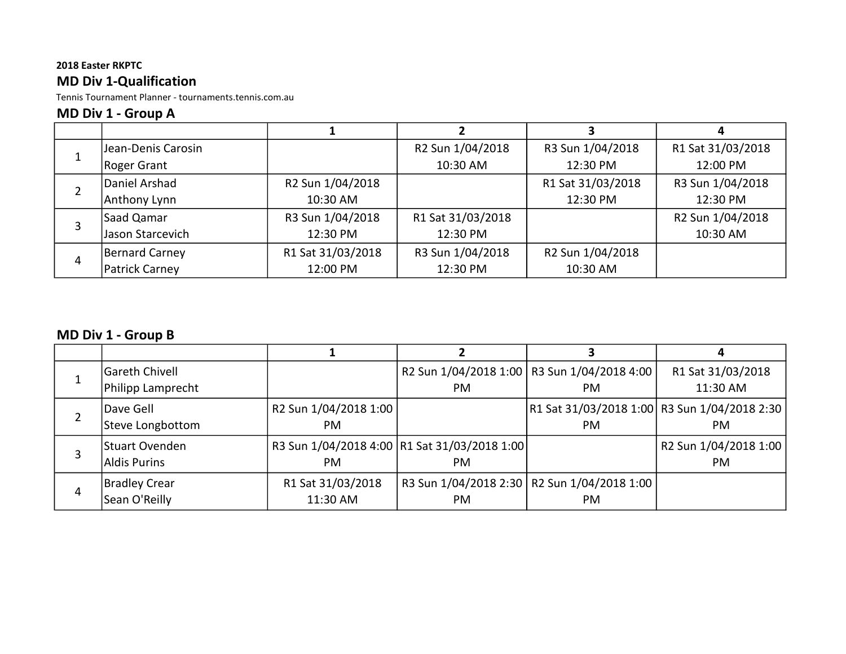### 2018 Easter RKPTC MD Div 1-Qualification

Tennis Tournament Planner - tournaments.tennis.com.au

### MD Div 1 - Group A

|   | Jean-Denis Carosin    |                   | R2 Sun 1/04/2018  | R3 Sun 1/04/2018  | R1 Sat 31/03/2018 |
|---|-----------------------|-------------------|-------------------|-------------------|-------------------|
|   | Roger Grant           |                   | 10:30 AM          | 12:30 PM          | 12:00 PM          |
| 2 | Daniel Arshad         | R2 Sun 1/04/2018  |                   | R1 Sat 31/03/2018 | R3 Sun 1/04/2018  |
|   | Anthony Lynn          | 10:30 AM          |                   | 12:30 PM          | 12:30 PM          |
|   | Saad Qamar            | R3 Sun 1/04/2018  | R1 Sat 31/03/2018 |                   | R2 Sun 1/04/2018  |
| 3 | Jason Starcevich      | 12:30 PM          | 12:30 PM          |                   | 10:30 AM          |
| 4 | Bernard Carney        | R1 Sat 31/03/2018 | R3 Sun 1/04/2018  | R2 Sun 1/04/2018  |                   |
|   | <b>Patrick Carney</b> | 12:00 PM          | 12:30 PM          | 10:30 AM          |                   |

# MD Div 1 - Group B

|   | Gareth Chivell    |                                   |                                               | R2 Sun 1/04/2018 1:00   R3 Sun 1/04/2018 4:00 | R1 Sat 31/03/2018     |
|---|-------------------|-----------------------------------|-----------------------------------------------|-----------------------------------------------|-----------------------|
|   | Philipp Lamprecht |                                   | PM.                                           | <b>PM</b>                                     | 11:30 AM              |
|   | lDave Gell        | R <sub>2</sub> Sun 1/04/2018 1:00 |                                               | R1 Sat 31/03/2018 1:00 R3 Sun 1/04/2018 2:30  |                       |
|   | Steve Longbottom  | PM.                               |                                               | <b>PM</b>                                     | PM.                   |
|   | Stuart Ovenden    |                                   | R3 Sun 1/04/2018 4:00 R1 Sat 31/03/2018 1:00  |                                               | R2 Sun 1/04/2018 1:00 |
|   | Aldis Purins      | PM.                               | PM.                                           |                                               | PM.                   |
|   | Bradley Crear     | R1 Sat 31/03/2018                 | R3 Sun 1/04/2018 2:30   R2 Sun 1/04/2018 1:00 |                                               |                       |
| 4 | Sean O'Reilly     | 11:30 AM                          | PM.                                           | PM                                            |                       |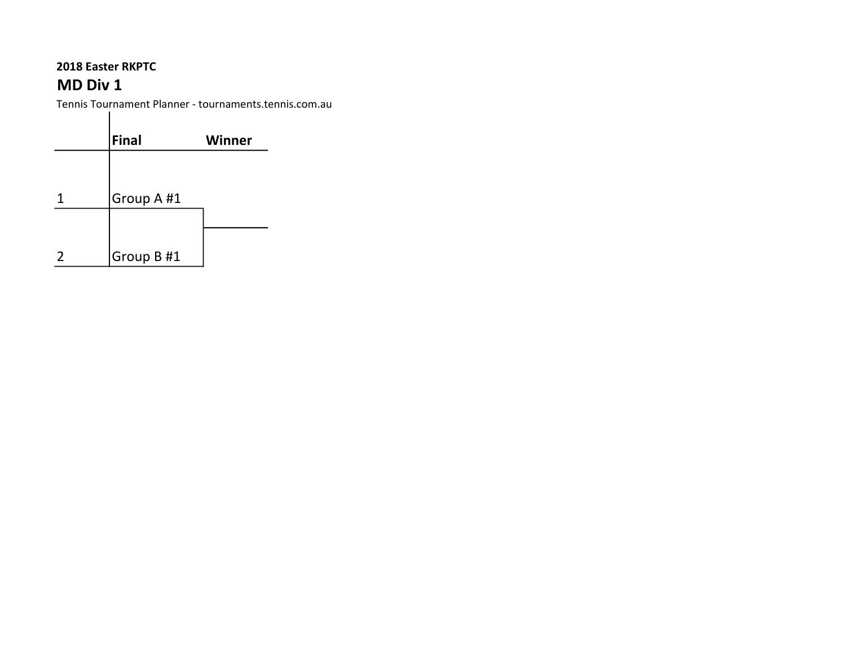## 2018 Easter RKPTC MD Div 1

|               | <b>Final</b> | <b>Winner</b> |
|---------------|--------------|---------------|
|               |              |               |
|               | Group A #1   |               |
|               |              |               |
| $\mathcal{P}$ | Group B#1    |               |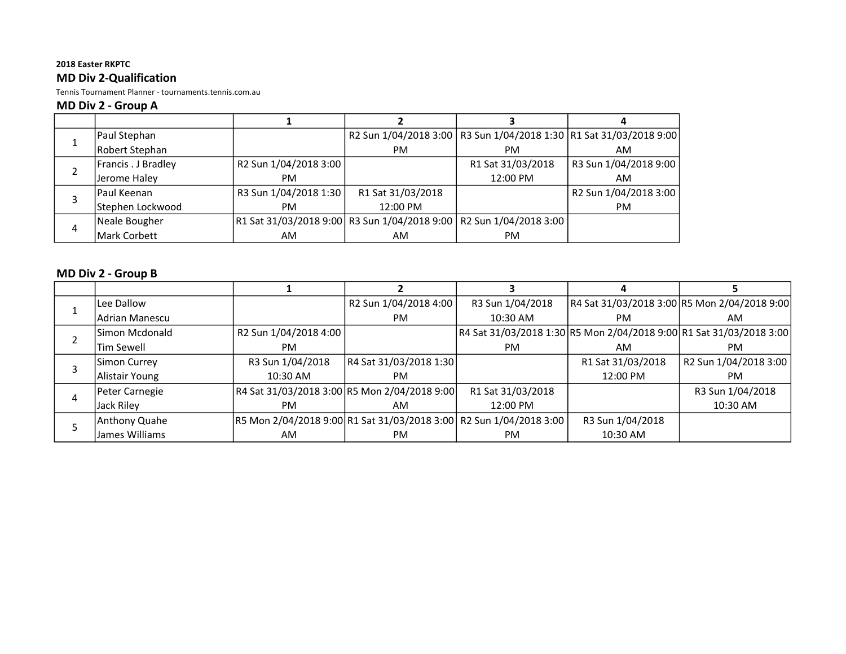### MD Div 2-Qualification

Tennis Tournament Planner - tournaments.tennis.com.au

#### MD Div 2 - Group A

|   | Paul Stephan        |                                                                       |                   |                   | R2 Sun 1/04/2018 3:00   R3 Sun 1/04/2018 1:30   R1 Sat 31/03/2018 9:00 |
|---|---------------------|-----------------------------------------------------------------------|-------------------|-------------------|------------------------------------------------------------------------|
|   | Robert Stephan      |                                                                       | <b>PM</b>         | PM.               | AM.                                                                    |
|   | Francis . J Bradley | R2 Sun 1/04/2018 3:00                                                 |                   | R1 Sat 31/03/2018 | R3 Sun 1/04/2018 9:00                                                  |
|   | Jerome Haley        | PM.                                                                   |                   | 12:00 PM          | AM.                                                                    |
|   | lPaul Keenan        | R3 Sun 1/04/2018 1:30                                                 | R1 Sat 31/03/2018 |                   | R2 Sun 1/04/2018 3:00                                                  |
|   | Stephen Lockwood    | PM.                                                                   | 12:00 PM          |                   | PM.                                                                    |
|   | Neale Bougher       | R1 Sat 31/03/2018 9:00  R3 Sun 1/04/2018 9:00   R2 Sun 1/04/2018 3:00 |                   |                   |                                                                        |
| 4 | Mark Corbett        | AM                                                                    | AM.               | <b>PM</b>         |                                                                        |

### MD Div 2 - Group B

| Lee Dallow            |                                                                    | R2 Sun 1/04/2018 4:00  | R3 Sun 1/04/2018  |                   | R4 Sat 31/03/2018 3:00 R5 Mon 2/04/2018 9:00                        |
|-----------------------|--------------------------------------------------------------------|------------------------|-------------------|-------------------|---------------------------------------------------------------------|
| Adrian Manescu        |                                                                    | PM.                    | 10:30 AM          | PM.               | AM.                                                                 |
| <b>Simon Mcdonald</b> | R2 Sun 1/04/2018 4:00                                              |                        |                   |                   | R4 Sat 31/03/2018 1:30 R5 Mon 2/04/2018 9:00 R1 Sat 31/03/2018 3:00 |
| <b>Tim Sewell</b>     | <b>PM</b>                                                          |                        | <b>PM</b>         | AM                | РM                                                                  |
| Simon Currey          | R3 Sun 1/04/2018                                                   | R4 Sat 31/03/2018 1:30 |                   | R1 Sat 31/03/2018 | R2 Sun 1/04/2018 3:00                                               |
| Alistair Young        | 10:30 AM                                                           | PM.                    |                   | 12:00 PM          | PM.                                                                 |
| Peter Carnegie        | R4 Sat 31/03/2018 3:00 R5 Mon 2/04/2018 9:00                       |                        | R1 Sat 31/03/2018 |                   | R3 Sun 1/04/2018                                                    |
| Jack Riley            | PM.                                                                | AM.                    | 12:00 PM          |                   | 10:30 AM                                                            |
| Anthony Quahe         | R5 Mon 2/04/2018 9:00 R1 Sat 31/03/2018 3:00 R2 Sun 1/04/2018 3:00 |                        |                   | R3 Sun 1/04/2018  |                                                                     |
| James Williams        | AM                                                                 | PM                     | PM                | 10:30 AM          |                                                                     |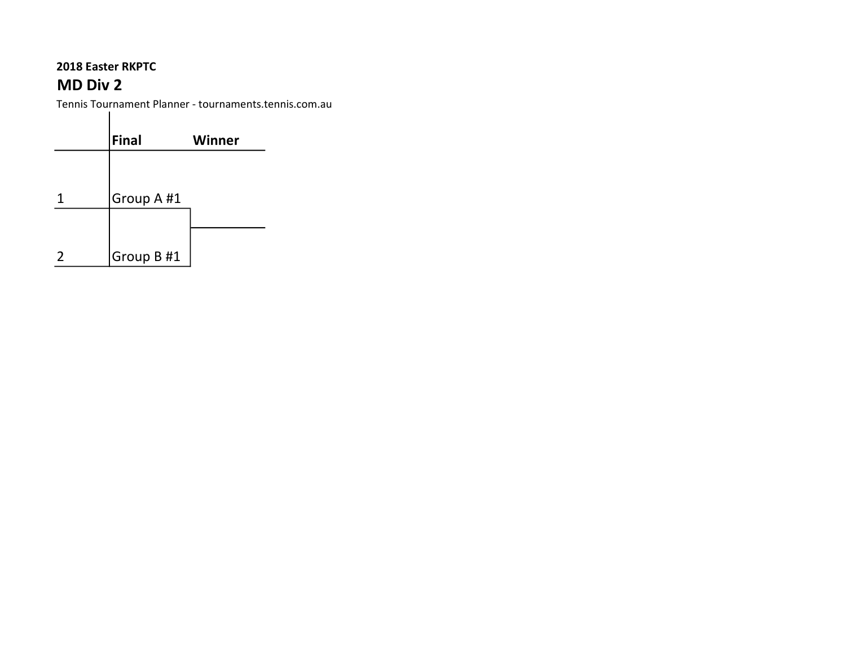## 2018 Easter RKPTC MD Div 2

|   | Final      | <b>Winner</b> |
|---|------------|---------------|
|   |            |               |
|   | Group A #1 |               |
|   |            |               |
| 2 | Group B #1 |               |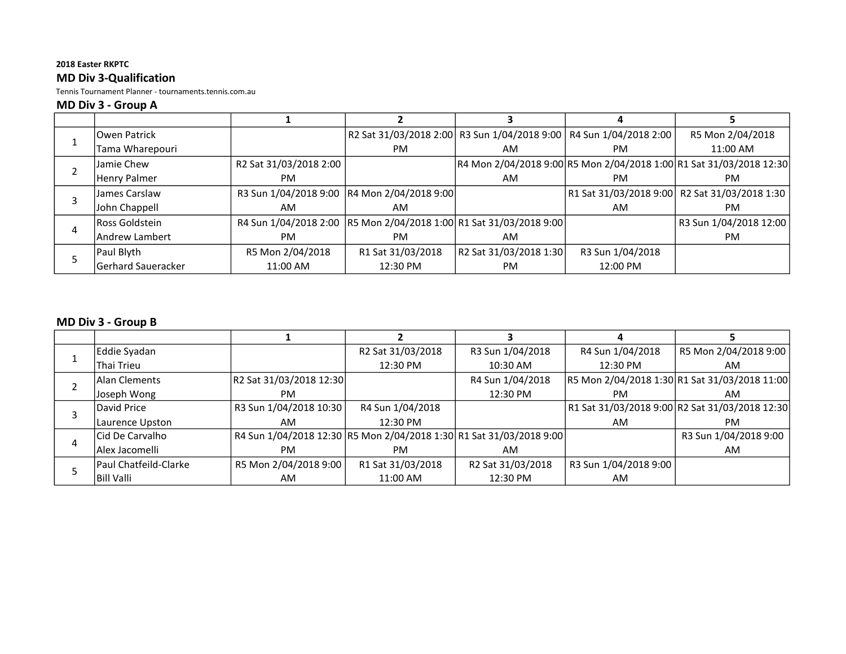### 2018 Easter RKPTC MD Div 3-Qualification

Tennis Tournament Planner - tournaments.tennis.com.au

#### MD Div 3 - Group A

|   | lOwen Patrick         |                        |                                                                      |                        | R2 Sat 31/03/2018 2:00 R3 Sun 1/04/2018 9:00 R4 Sun 1/04/2018 2:00 | R5 Mon 2/04/2018                                                    |
|---|-----------------------|------------------------|----------------------------------------------------------------------|------------------------|--------------------------------------------------------------------|---------------------------------------------------------------------|
|   | Tama Wharepouri       |                        | <b>PM</b>                                                            | AM                     | PM                                                                 | 11:00 AM                                                            |
|   | Jamie Chew            | R2 Sat 31/03/2018 2:00 |                                                                      |                        |                                                                    | R4 Mon 2/04/2018 9:00 R5 Mon 2/04/2018 1:00 R1 Sat 31/03/2018 12:30 |
|   | Henry Palmer          | PM.                    |                                                                      | AM                     | PM.                                                                | PM.                                                                 |
|   | James Carslaw         |                        | R3 Sun 1/04/2018 9:00  R4 Mon 2/04/2018 9:00                         |                        |                                                                    | R1 Sat 31/03/2018 9:00 R2 Sat 31/03/2018 1:30                       |
|   | John Chappell         | AM                     | AM                                                                   |                        | AM                                                                 | PM.                                                                 |
|   | <b>Ross Goldstein</b> |                        | R4 Sun 1/04/2018 2:00  R5 Mon 2/04/2018 1:00  R1 Sat 31/03/2018 9:00 |                        |                                                                    | R3 Sun 1/04/2018 12:00                                              |
| 4 | lAndrew Lambert       | PM.                    | PM.                                                                  | AM.                    |                                                                    | PM.                                                                 |
|   | Paul Blyth            | R5 Mon 2/04/2018       | R1 Sat 31/03/2018                                                    | R2 Sat 31/03/2018 1:30 | R3 Sun 1/04/2018                                                   |                                                                     |
|   | lGerhard Saueracker   | 11:00 AM               | 12:30 PM                                                             | <b>PM</b>              | 12:00 PM                                                           |                                                                     |

### MD Div 3 - Group B

| Eddie Syadan          |                                                                     | R2 Sat 31/03/2018 | R3 Sun 1/04/2018  | R4 Sun 1/04/2018      | R5 Mon 2/04/2018 9:00                          |
|-----------------------|---------------------------------------------------------------------|-------------------|-------------------|-----------------------|------------------------------------------------|
| Thai Trieu            |                                                                     | 12:30 PM          | 10:30 AM          | 12:30 PM              | AM                                             |
| Alan Clements         | R2 Sat 31/03/2018 12:30                                             |                   | R4 Sun 1/04/2018  |                       | R5 Mon 2/04/2018 1:30 R1 Sat 31/03/2018 11:00  |
| Joseph Wong           | PM.                                                                 |                   | 12:30 PM          | PM.                   | AM                                             |
| David Price           | R3 Sun 1/04/2018 10:30                                              | R4 Sun 1/04/2018  |                   |                       | R1 Sat 31/03/2018 9:00 R2 Sat 31/03/2018 12:30 |
| Laurence Upston       | AM                                                                  | 12:30 PM          |                   | AM                    | PM.                                            |
| lCid De Carvalho      | R4 Sun 1/04/2018 12:30 R5 Mon 2/04/2018 1:30 R1 Sat 31/03/2018 9:00 |                   |                   |                       | R3 Sun 1/04/2018 9:00                          |
| Alex Jacomelli        | PM.                                                                 | <b>PM</b>         | AM.               |                       | AM                                             |
| Paul Chatfeild-Clarke | R5 Mon 2/04/2018 9:00                                               | R1 Sat 31/03/2018 | R2 Sat 31/03/2018 | R3 Sun 1/04/2018 9:00 |                                                |
| <b>Bill Valli</b>     | AM                                                                  | 11:00 AM          | 12:30 PM          | AM                    |                                                |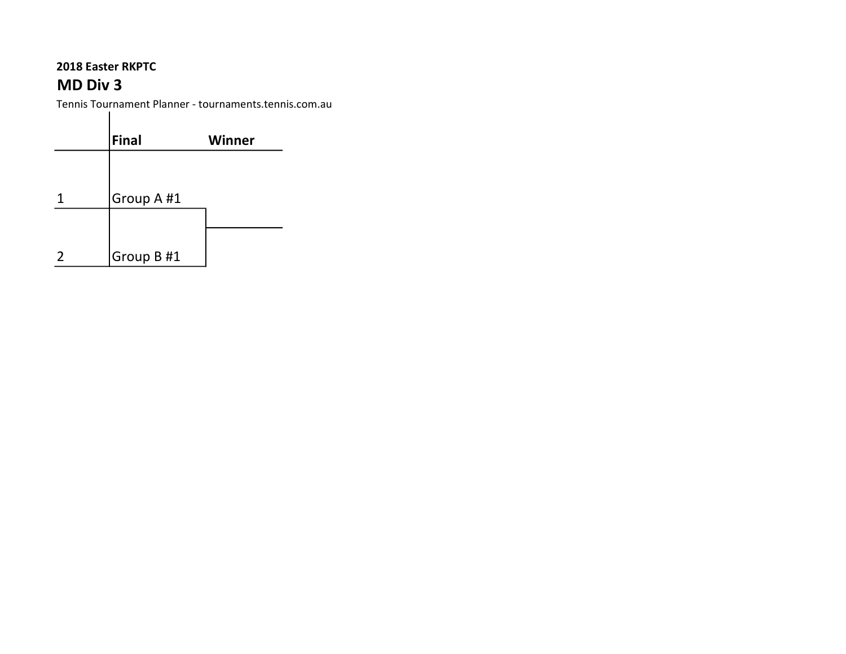## 2018 Easter RKPTC MD Div 3

 $\blacksquare$ 

|               | Final      | Winner |
|---------------|------------|--------|
|               |            |        |
|               | Group A #1 |        |
|               |            |        |
| $\mathcal{P}$ | Group B #1 |        |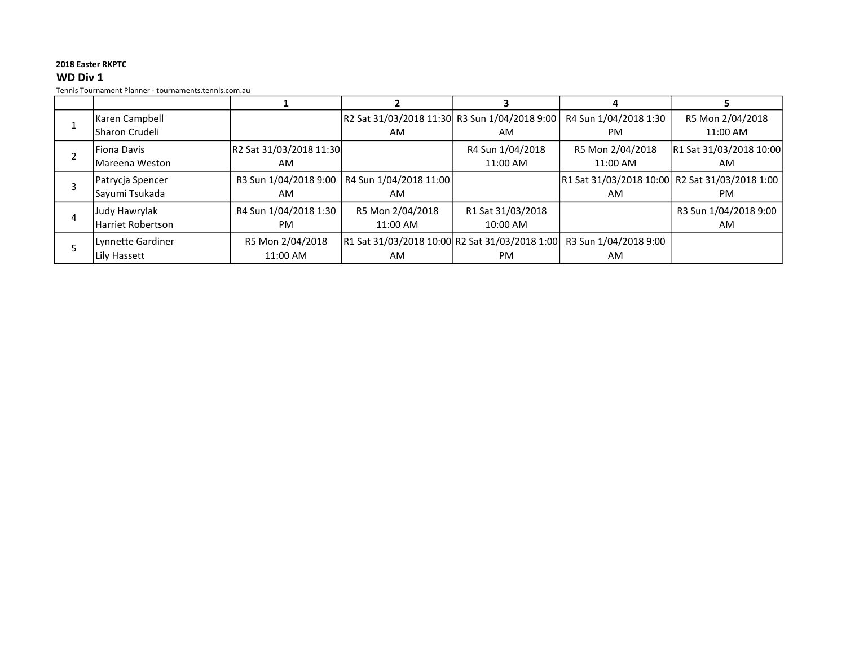#### 2018 Easter RKPTC WD Div 1

|   | Karen Campbell           |                         | R2 Sat 31/03/2018 11:30 R3 Sun 1/04/2018 9:00                        |                   | R4 Sun 1/04/2018 1:30 | R5 Mon 2/04/2018                               |
|---|--------------------------|-------------------------|----------------------------------------------------------------------|-------------------|-----------------------|------------------------------------------------|
|   | Sharon Crudeli           |                         | AM                                                                   | AM                | PM.                   | 11:00 AM                                       |
|   | Fiona Davis              | R2 Sat 31/03/2018 11:30 |                                                                      | R4 Sun 1/04/2018  | R5 Mon 2/04/2018      | R1 Sat 31/03/2018 10:00                        |
|   | lMareena Weston          | AM                      |                                                                      | 11:00 AM          | 11:00 AM              | AM                                             |
|   | Patrycja Spencer         | R3 Sun 1/04/2018 9:00   | R4 Sun 1/04/2018 11:00                                               |                   |                       | R1 Sat 31/03/2018 10:00 R2 Sat 31/03/2018 1:00 |
|   | Sayumi Tsukada           | AM                      | AM                                                                   |                   | AM                    | PM.                                            |
| 4 | Judy Hawrylak            | R4 Sun 1/04/2018 1:30   | R5 Mon 2/04/2018                                                     | R1 Sat 31/03/2018 |                       | R3 Sun 1/04/2018 9:00                          |
|   | <b>Harriet Robertson</b> | PM                      | 11:00 AM                                                             | 10:00 AM          |                       | AM                                             |
|   | Lynnette Gardiner        | R5 Mon 2/04/2018        | R1 Sat 31/03/2018 10:00 R2 Sat 31/03/2018 1:00 R3 Sun 1/04/2018 9:00 |                   |                       |                                                |
|   | Lily Hassett             | 11:00 AM                | AM                                                                   | <b>PM</b>         | AM                    |                                                |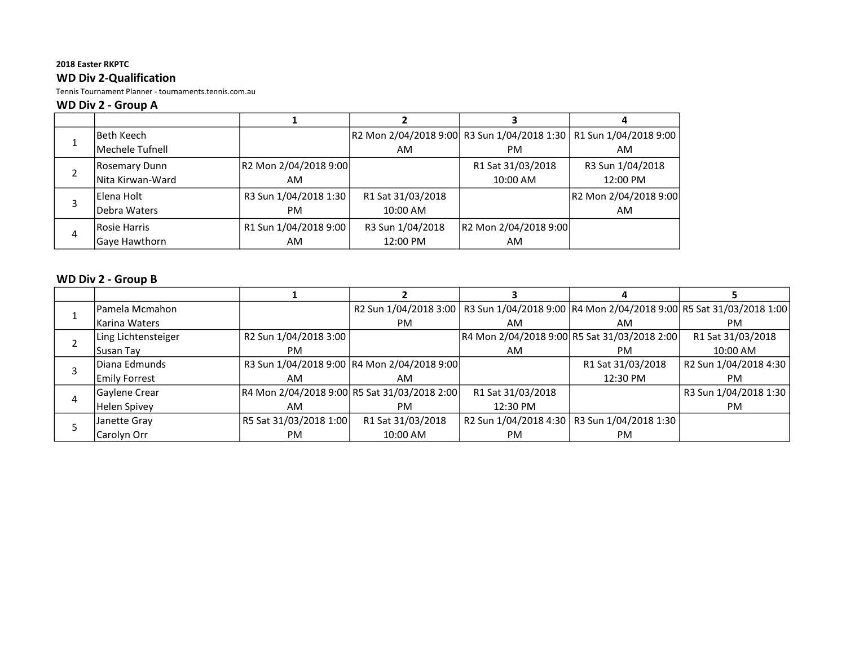### 2018 Easter RKPTC WD Div 2-Qualification

Tennis Tournament Planner - tournaments.tennis.com.au

#### WD Div 2 - Group A

|   | lBeth Keech          |                       |                   |                       | R2 Mon 2/04/2018 9:00 R3 Sun 1/04/2018 1:30   R1 Sun 1/04/2018 9:00 |
|---|----------------------|-----------------------|-------------------|-----------------------|---------------------------------------------------------------------|
|   | Mechele Tufnell      |                       | AM                | <b>PM</b>             | AM                                                                  |
|   | <b>Rosemary Dunn</b> | R2 Mon 2/04/2018 9:00 |                   | R1 Sat 31/03/2018     | R3 Sun 1/04/2018                                                    |
|   | Nita Kirwan-Ward     | AM                    |                   | 10:00 AM              | 12:00 PM                                                            |
|   | <b>IElena Holt</b>   | R3 Sun 1/04/2018 1:30 | R1 Sat 31/03/2018 |                       | R2 Mon 2/04/2018 9:00                                               |
|   | Debra Waters         | <b>PM</b>             | 10:00 AM          |                       | AM.                                                                 |
|   | Rosie Harris         | R1 Sun 1/04/2018 9:00 | R3 Sun 1/04/2018  | R2 Mon 2/04/2018 9:00 |                                                                     |
| 4 | Gaye Hawthorn        | AM                    | 12:00 PM          | AM                    |                                                                     |

### WD Div 2 - Group B

| lPamela Mcmahon      |                                   |                                              | R2 Sun 1/04/2018 3:00   R3 Sun 1/04/2018 9:00   R4 Mon 2/04/2018 9:00   R5 Sat 31/03/2018 1:00 |                   |                       |
|----------------------|-----------------------------------|----------------------------------------------|------------------------------------------------------------------------------------------------|-------------------|-----------------------|
| lKarina Waters       |                                   | PM                                           | AM                                                                                             | AM                | <b>PM</b>             |
| Ling Lichtensteiger  | R <sub>2</sub> Sun 1/04/2018 3:00 |                                              | R4 Mon 2/04/2018 9:00 R5 Sat 31/03/2018 2:00                                                   |                   | R1 Sat 31/03/2018     |
| Susan Tay            | PM.                               |                                              | AM                                                                                             | PМ                | 10:00 AM              |
| lDiana Edmunds       |                                   | R3 Sun 1/04/2018 9:00 R4 Mon 2/04/2018 9:00  |                                                                                                | R1 Sat 31/03/2018 | R2 Sun 1/04/2018 4:30 |
| <b>Emily Forrest</b> | AM                                | AM                                           |                                                                                                | 12:30 PM          | <b>PM</b>             |
| Gaylene Crear        |                                   | R4 Mon 2/04/2018 9:00 R5 Sat 31/03/2018 2:00 | R1 Sat 31/03/2018                                                                              |                   | R3 Sun 1/04/2018 1:30 |
| Helen Spivey         | AM                                | <b>PM</b>                                    | 12:30 PM                                                                                       |                   | <b>PM</b>             |
| Janette Gray         | R5 Sat 31/03/2018 1:00            | R1 Sat 31/03/2018                            | R2 Sun 1/04/2018 4:30   R3 Sun 1/04/2018 1:30                                                  |                   |                       |
| Carolyn Orr          | PM                                | 10:00 AM                                     | PM                                                                                             | <b>PM</b>         |                       |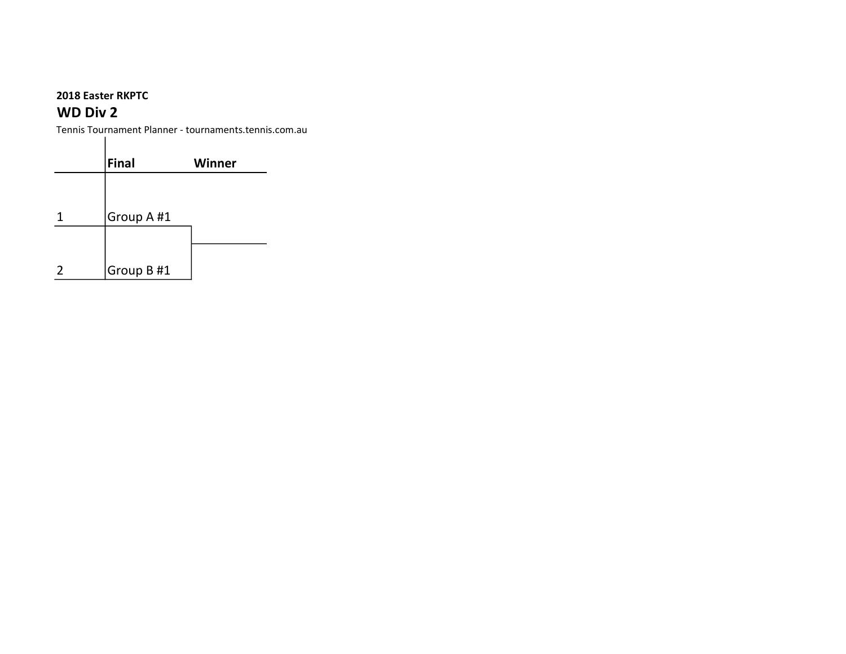## WD Div 2

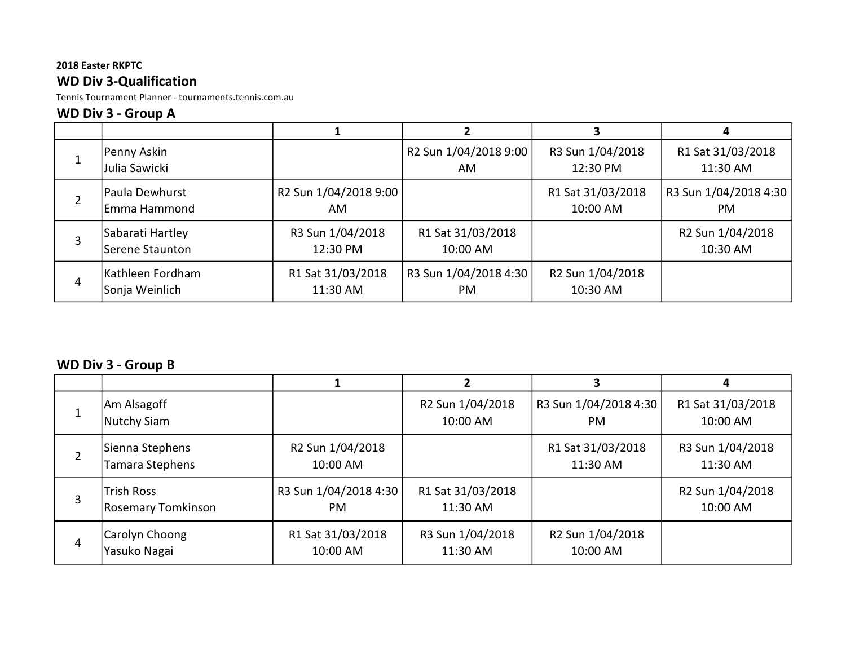### 2018 Easter RKPTC WD Div 3-Qualification

Tennis Tournament Planner - tournaments.tennis.com.au

### WD Div 3 - Group A

|   |                                     |                                          |                               |                               | 4                             |
|---|-------------------------------------|------------------------------------------|-------------------------------|-------------------------------|-------------------------------|
|   | Penny Askin<br>Julia Sawicki        |                                          | R2 Sun 1/04/2018 9:00<br>AM.  | R3 Sun 1/04/2018<br>12:30 PM  | R1 Sat 31/03/2018<br>11:30 AM |
|   | Paula Dewhurst<br>lEmma Hammond     | R <sub>2</sub> Sun 1/04/2018 9:00<br>AM. |                               | R1 Sat 31/03/2018<br>10:00 AM | R3 Sun 1/04/2018 4:30<br>PM.  |
|   | Sabarati Hartley<br>Serene Staunton | R3 Sun 1/04/2018<br>12:30 PM             | R1 Sat 31/03/2018<br>10:00 AM |                               | R2 Sun 1/04/2018<br>10:30 AM  |
| 4 | Kathleen Fordham<br>Sonja Weinlich  | R1 Sat 31/03/2018<br>11:30 AM            | R3 Sun 1/04/2018 4:30<br>PM.  | R2 Sun 1/04/2018<br>10:30 AM  |                               |

# WD Div 3 - Group B

|   |                                         |                               |                               |                                          | 4                             |
|---|-----------------------------------------|-------------------------------|-------------------------------|------------------------------------------|-------------------------------|
|   | Am Alsagoff<br>Nutchy Siam              |                               | R2 Sun 1/04/2018<br>10:00 AM  | R3 Sun 1/04/2018 4:30<br><b>PM</b>       | R1 Sat 31/03/2018<br>10:00 AM |
|   | Sienna Stephens<br>Tamara Stephens      | R2 Sun 1/04/2018<br>10:00 AM  |                               | R1 Sat 31/03/2018<br>11:30 AM            | R3 Sun 1/04/2018<br>11:30 AM  |
| 3 | <b>Trish Ross</b><br>Rosemary Tomkinson | R3 Sun 1/04/2018 4:30<br>PM.  | R1 Sat 31/03/2018<br>11:30 AM |                                          | R2 Sun 1/04/2018<br>10:00 AM  |
| 4 | Carolyn Choong<br>Yasuko Nagai          | R1 Sat 31/03/2018<br>10:00 AM | R3 Sun 1/04/2018<br>11:30 AM  | R <sub>2</sub> Sun 1/04/2018<br>10:00 AM |                               |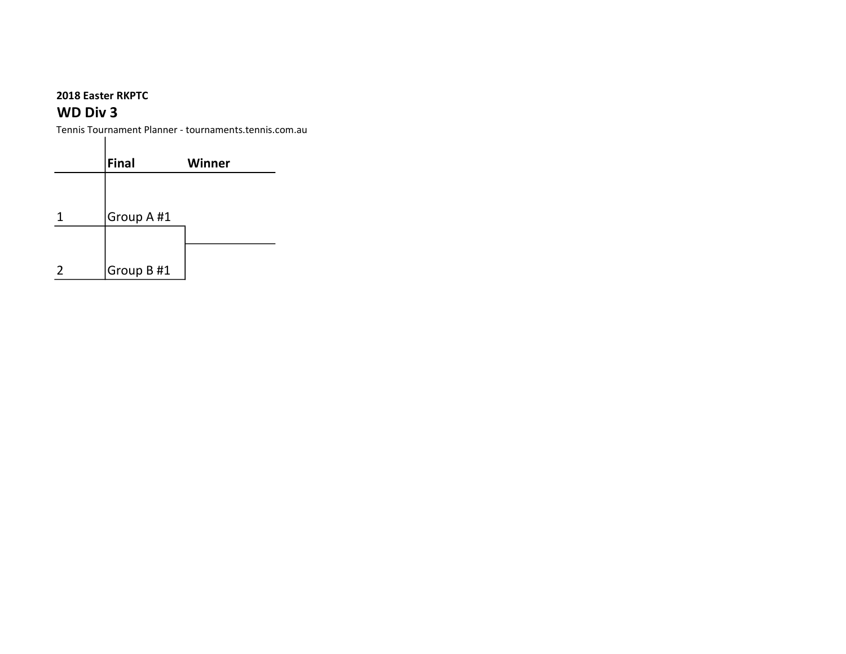## WD Div 3

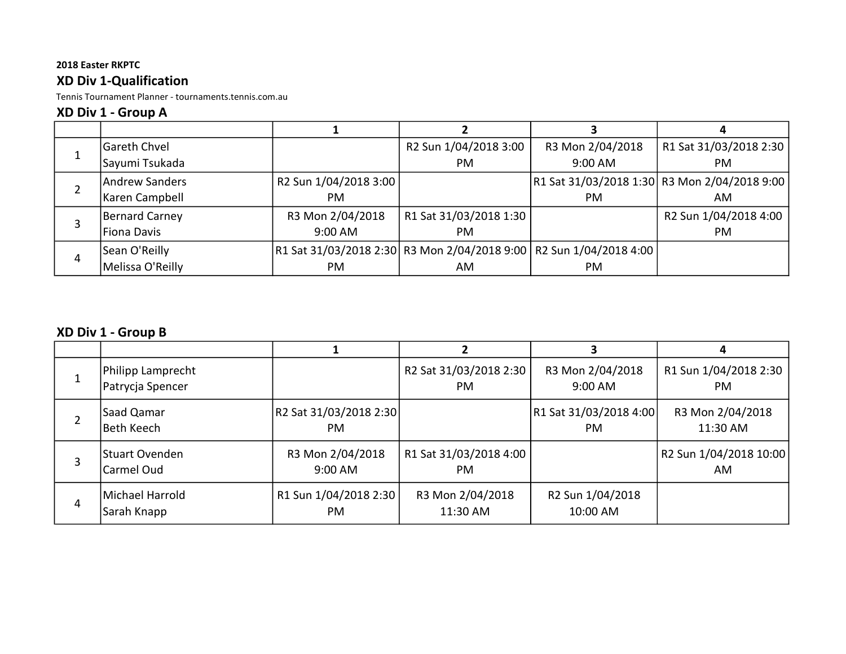### XD Div 1-Qualification

Tennis Tournament Planner - tournaments.tennis.com.au

### XD Div 1 - Group A

|    | Gareth Chvel     |                       | R2 Sun 1/04/2018 3:00                                                 | R3 Mon 2/04/2018 | R1 Sat 31/03/2018 2:30                       |
|----|------------------|-----------------------|-----------------------------------------------------------------------|------------------|----------------------------------------------|
| Ŧ. | Sayumi Tsukada   |                       | PM.                                                                   | 9:00 AM          | PM.                                          |
|    | Andrew Sanders   | R2 Sun 1/04/2018 3:00 |                                                                       |                  | R1 Sat 31/03/2018 1:30 R3 Mon 2/04/2018 9:00 |
|    | Karen Campbell   | PM.                   |                                                                       | <b>PM</b>        | AM                                           |
|    | Bernard Carney   | R3 Mon 2/04/2018      | R1 Sat 31/03/2018 1:30                                                |                  | R2 Sun 1/04/2018 4:00                        |
|    | Fiona Davis      | 9:00 AM               | <b>PM</b>                                                             |                  | PM                                           |
|    | Sean O'Reilly    |                       | R1 Sat 31/03/2018 2:30  R3 Mon 2/04/2018 9:00   R2 Sun 1/04/2018 4:00 |                  |                                              |
| 4  | Melissa O'Reilly | PM.                   | AM                                                                    | <b>PM</b>        |                                              |

# XD Div 1 - Group B

|   | Philipp Lamprecht<br>Patrycja Spencer |                                     | R2 Sat 31/03/2018 2:30<br>PM. | R3 Mon 2/04/2018<br>$9:00$ AM       | R1 Sun 1/04/2018 2:30<br>PM.             |
|---|---------------------------------------|-------------------------------------|-------------------------------|-------------------------------------|------------------------------------------|
|   | Saad Qamar<br>Beth Keech              | R2 Sat 31/03/2018 2:30<br><b>PM</b> |                               | R1 Sat 31/03/2018 4:00<br><b>PM</b> | R3 Mon 2/04/2018<br>11:30 AM             |
| 3 | Stuart Ovenden<br>Carmel Oud          | R3 Mon 2/04/2018<br>9:00 AM         | R1 Sat 31/03/2018 4:00<br>PM. |                                     | R <sub>2</sub> Sun 1/04/2018 10:00<br>AM |
| 4 | lMichael Harrold<br>Sarah Knapp       | R1 Sun 1/04/2018 2:30<br><b>PM</b>  | R3 Mon 2/04/2018<br>11:30 AM  | R2 Sun 1/04/2018<br>10:00 AM        |                                          |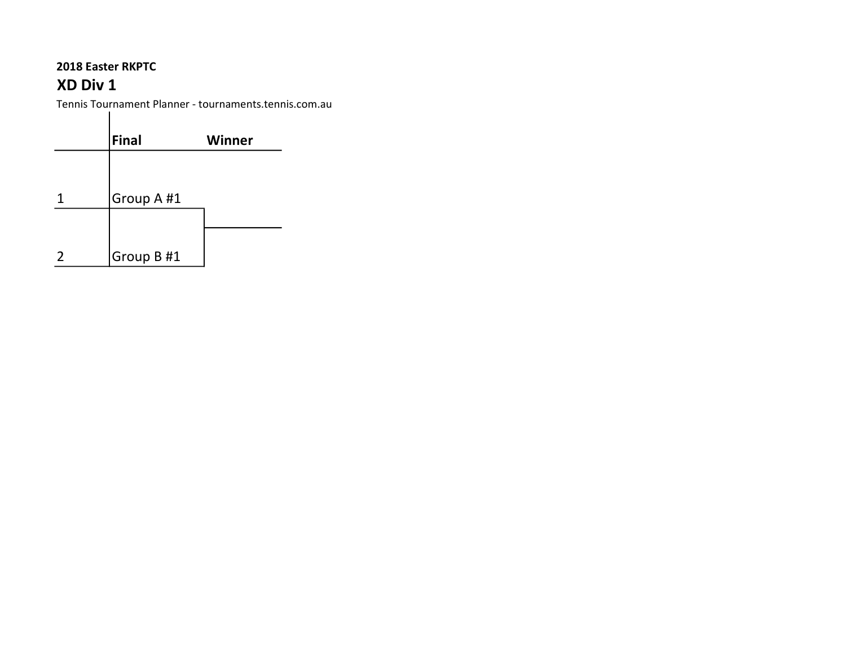# XD Div 1

|   | Final      | Winner |
|---|------------|--------|
|   |            |        |
|   | Group A #1 |        |
|   |            |        |
| 2 | Group B#1  |        |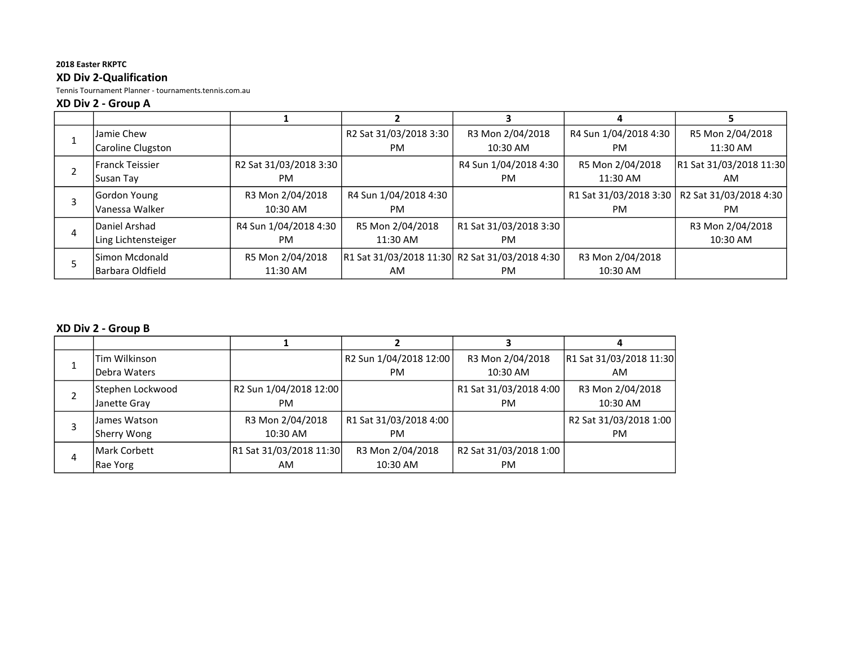#### 2018 Easter RKPTC XD Div 2-Qualification

Tennis Tournament Planner - tournaments.tennis.com.au

#### XD Div 2 - Group A

|                     |                        |                                                |                        | 4                     |                                                 |
|---------------------|------------------------|------------------------------------------------|------------------------|-----------------------|-------------------------------------------------|
| lJamie Chew         |                        | R2 Sat 31/03/2018 3:30                         | R3 Mon 2/04/2018       | R4 Sun 1/04/2018 4:30 | R5 Mon 2/04/2018                                |
| Caroline Clugston   |                        | PM.                                            | 10:30 AM               | PM.                   | 11:30 AM                                        |
| lFranck Teissier    | R2 Sat 31/03/2018 3:30 |                                                | R4 Sun 1/04/2018 4:30  | R5 Mon 2/04/2018      | R1 Sat 31/03/2018 11:30                         |
| Susan Tay           | PM.                    |                                                | PM.                    | 11:30 AM              | AM                                              |
| Gordon Young        | R3 Mon 2/04/2018       | R4 Sun 1/04/2018 4:30                          |                        |                       | R1 Sat 31/03/2018 3:30   R2 Sat 31/03/2018 4:30 |
| Vanessa Walker      | 10:30 AM               | PM.                                            |                        | PM.                   | PM.                                             |
| Daniel Arshad       | R4 Sun 1/04/2018 4:30  | R5 Mon 2/04/2018                               | R1 Sat 31/03/2018 3:30 |                       | R3 Mon 2/04/2018                                |
| Ling Lichtensteiger | PM.                    | 11:30 AM                                       | PM.                    |                       | 10:30 AM                                        |
| lSimon Mcdonald     | R5 Mon 2/04/2018       | R1 Sat 31/03/2018 11:30 R2 Sat 31/03/2018 4:30 |                        | R3 Mon 2/04/2018      |                                                 |
| Barbara Oldfield    | 11:30 AM               | AM                                             | PM.                    | 10:30 AM              |                                                 |

### XD Div 2 - Group B

|   | Tim Wilkinson                    |                               | R2 Sun 1/04/2018 12:00              | R3 Mon 2/04/2018                    | R1 Sat 31/03/2018 11:30       |
|---|----------------------------------|-------------------------------|-------------------------------------|-------------------------------------|-------------------------------|
|   | Debra Waters                     |                               | <b>PM</b>                           | 10:30 AM                            | AM                            |
|   | Stephen Lockwood<br>Janette Gray | R2 Sun 1/04/2018 12:00<br>PM. |                                     | R1 Sat 31/03/2018 4:00<br><b>PM</b> | R3 Mon 2/04/2018<br>10:30 AM  |
|   | James Watson<br>Sherry Wong      | R3 Mon 2/04/2018<br>10:30 AM  | R1 Sat 31/03/2018 4:00<br><b>PM</b> |                                     | R2 Sat 31/03/2018 1:00<br>PM. |
| 4 | lMark Corbett<br>Rae Yorg        | R1 Sat 31/03/2018 11:30<br>AM | R3 Mon 2/04/2018<br>10:30 AM        | R2 Sat 31/03/2018 1:00<br><b>PM</b> |                               |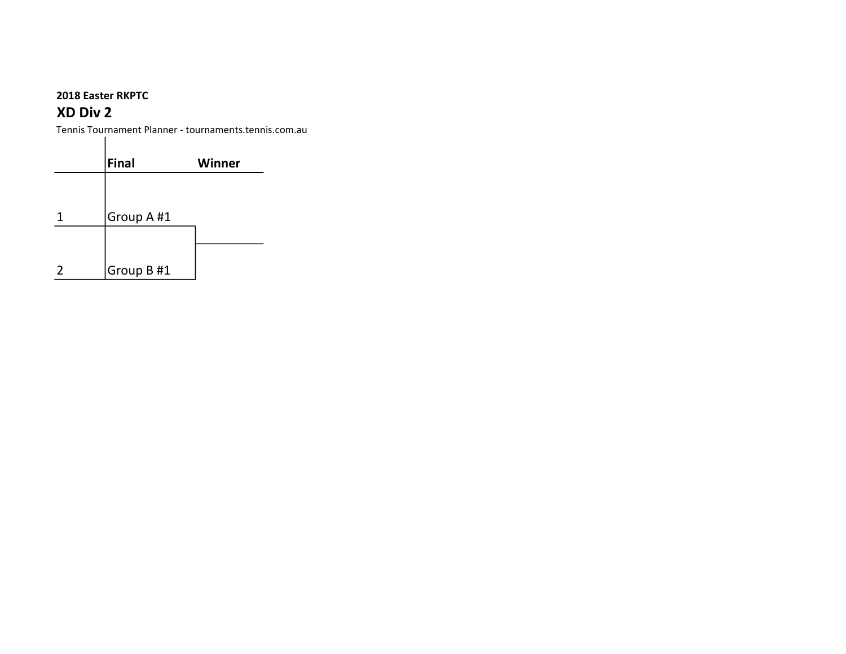$\perp$ 

## XD Div 2

|               | Final      | <b>Winner</b> |
|---------------|------------|---------------|
|               |            |               |
|               | Group A #1 |               |
|               |            |               |
| $\mathcal{P}$ | Group B#1  |               |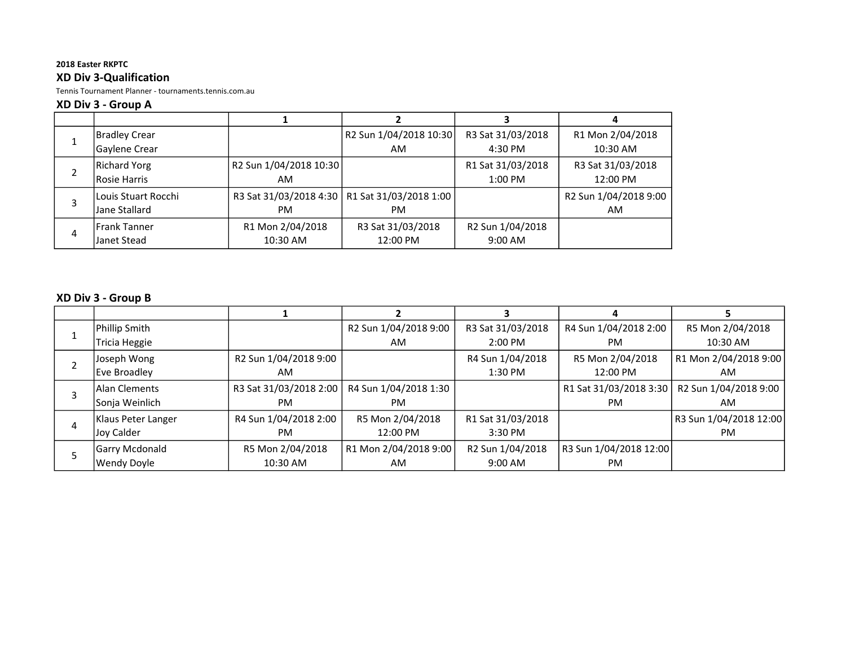#### 2018 Easter RKPTC XD Div 3-Qualification

Tennis Tournament Planner - tournaments.tennis.com.au

#### XD Div 3 - Group A

|   | Bradley Crear       |                                                 | R2 Sun 1/04/2018 10:30 | R3 Sat 31/03/2018 | R1 Mon 2/04/2018      |
|---|---------------------|-------------------------------------------------|------------------------|-------------------|-----------------------|
|   | Gaylene Crear       |                                                 | AM                     | 4:30 PM           | 10:30 AM              |
|   | Richard Yorg        | R2 Sun 1/04/2018 10:30                          |                        | R1 Sat 31/03/2018 | R3 Sat 31/03/2018     |
|   | Rosie Harris        | AM.                                             |                        | $1:00$ PM         | 12:00 PM              |
|   | Louis Stuart Rocchi | R3 Sat 31/03/2018 4:30   R1 Sat 31/03/2018 1:00 |                        |                   | R2 Sun 1/04/2018 9:00 |
|   | Jane Stallard       | PM.                                             | <b>PM</b>              |                   | AM                    |
| 4 | <b>Frank Tanner</b> | R1 Mon 2/04/2018                                | R3 Sat 31/03/2018      | R2 Sun 1/04/2018  |                       |
|   | Janet Stead         | 10:30 AM                                        | 12:00 PM               | $9:00$ AM         |                       |

### XD Div 3 - Group B

|   | Phillip Smith         |                        | R2 Sun 1/04/2018 9:00 | R3 Sat 31/03/2018   | R4 Sun 1/04/2018 2:00  | R5 Mon 2/04/2018       |
|---|-----------------------|------------------------|-----------------------|---------------------|------------------------|------------------------|
|   | Tricia Heggie         |                        | AM                    | $2:00 \, \text{PM}$ | <b>PM</b>              | $10:30$ AM             |
|   | Joseph Wong           | R2 Sun 1/04/2018 9:00  |                       | R4 Sun 1/04/2018    | R5 Mon 2/04/2018       | R1 Mon 2/04/2018 9:00  |
|   | Eve Broadley          | AM                     |                       | $1:30$ PM           | 12:00 PM               | AM                     |
|   | lAlan Clements        | R3 Sat 31/03/2018 2:00 | R4 Sun 1/04/2018 1:30 |                     | R1 Sat 31/03/2018 3:30 | R2 Sun 1/04/2018 9:00  |
|   | Sonja Weinlich        | <b>PM</b>              | PM.                   |                     | PM.                    | AM.                    |
|   | Klaus Peter Langer    | R4 Sun 1/04/2018 2:00  | R5 Mon 2/04/2018      | R1 Sat 31/03/2018   |                        | R3 Sun 1/04/2018 12:00 |
| 4 | Joy Calder            | <b>PM</b>              | 12:00 PM              | $3:30$ PM           |                        | PM.                    |
|   | <b>Garry Mcdonald</b> | R5 Mon 2/04/2018       | R1 Mon 2/04/2018 9:00 | R2 Sun 1/04/2018    | R3 Sun 1/04/2018 12:00 |                        |
|   | <b>Wendy Doyle</b>    | 10:30 AM               | AM                    | $9:00$ AM           | <b>PM</b>              |                        |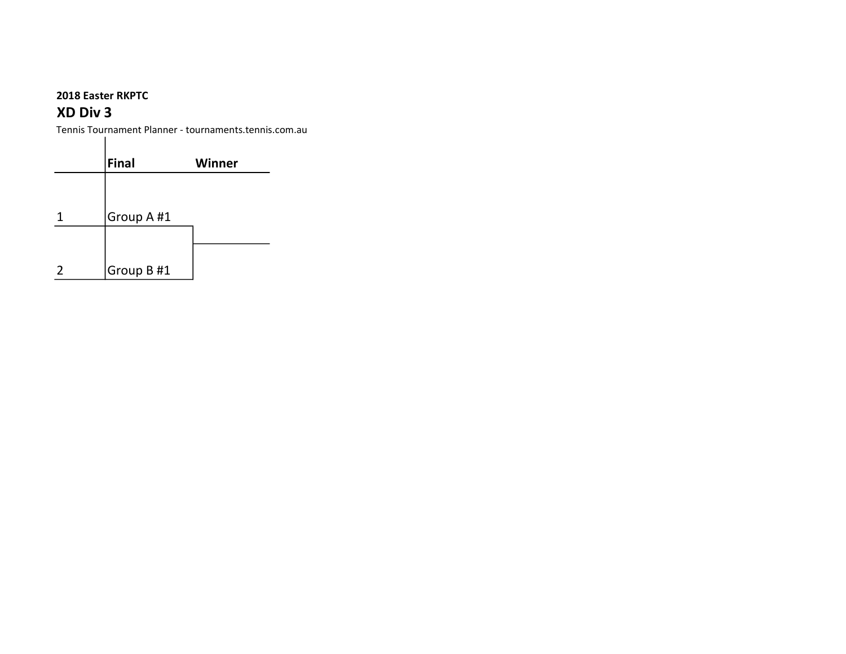## XD Div 3

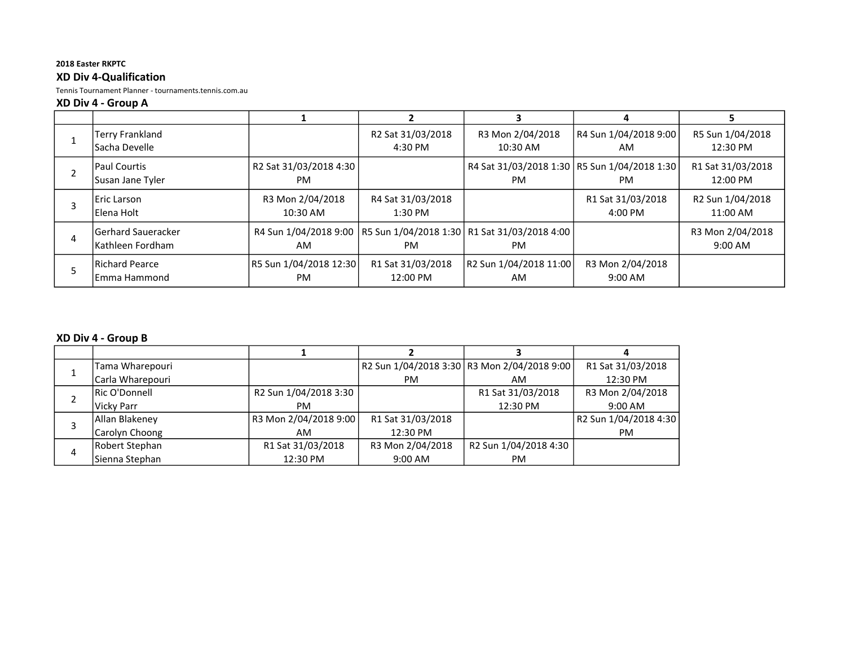#### 2018 Easter RKPTC XD Div 4-Qualification

Tennis Tournament Planner - tournaments.tennis.com.au

#### XD Div 4 - Group A

| Terry Frankland<br><b>Sacha Develle</b>  |                                     | R2 Sat 31/03/2018<br>4:30 PM   | R3 Mon 2/04/2018<br>10:30 AM                                                        | R4 Sun 1/04/2018 9:00<br>AM            | R5 Sun 1/04/2018<br>12:30 PM  |
|------------------------------------------|-------------------------------------|--------------------------------|-------------------------------------------------------------------------------------|----------------------------------------|-------------------------------|
| <b>Paul Courtis</b><br>Susan Jane Tyler  | R2 Sat 31/03/2018 4:30<br><b>PM</b> |                                | R4 Sat 31/03/2018 1:30   R5 Sun 1/04/2018 1:30<br><b>PM</b>                         | <b>PM</b>                              | R1 Sat 31/03/2018<br>12:00 PM |
| Eric Larson<br>Elena Holt                | R3 Mon 2/04/2018<br>10:30 AM        | R4 Sat 31/03/2018<br>$1:30$ PM |                                                                                     | R1 Sat 31/03/2018<br>$4:00 \text{ PM}$ | R2 Sun 1/04/2018<br>11:00 AM  |
| lGerhard Saueracker<br>lKathleen Fordham | AM                                  | PM.                            | R4 Sun 1/04/2018 9:00   R5 Sun 1/04/2018 1:30   R1 Sat 31/03/2018 4:00<br><b>PM</b> |                                        | R3 Mon 2/04/2018<br>9:00 AM   |
| Richard Pearce<br>lEmma Hammond          | R5 Sun 1/04/2018 12:30<br><b>PM</b> | R1 Sat 31/03/2018<br>12:00 PM  | R2 Sun 1/04/2018 11:00<br>AM                                                        | R3 Mon 2/04/2018<br>9:00 AM            |                               |

#### XD Div 4 - Group B

| Tama Wharepouri  |                       |                   | R2 Sun 1/04/2018 3:30 R3 Mon 2/04/2018 9:00 | R1 Sat 31/03/2018     |
|------------------|-----------------------|-------------------|---------------------------------------------|-----------------------|
| Carla Wharepouri |                       | <b>PM</b>         | AM                                          | 12:30 PM              |
| Ric O'Donnell    | R2 Sun 1/04/2018 3:30 |                   | R1 Sat 31/03/2018                           | R3 Mon 2/04/2018      |
| Vicky Parr       | PM.                   |                   | 12:30 PM                                    | $9:00$ AM             |
| Allan Blakeney   | R3 Mon 2/04/2018 9:00 | R1 Sat 31/03/2018 |                                             | R2 Sun 1/04/2018 4:30 |
| Carolyn Choong   | AM                    | 12:30 PM          |                                             | PM.                   |
| Robert Stephan   | R1 Sat 31/03/2018     | R3 Mon 2/04/2018  | R2 Sun 1/04/2018 4:30                       |                       |
| Sienna Stephan   | 12:30 PM              | $9:00 \text{ AM}$ | PM.                                         |                       |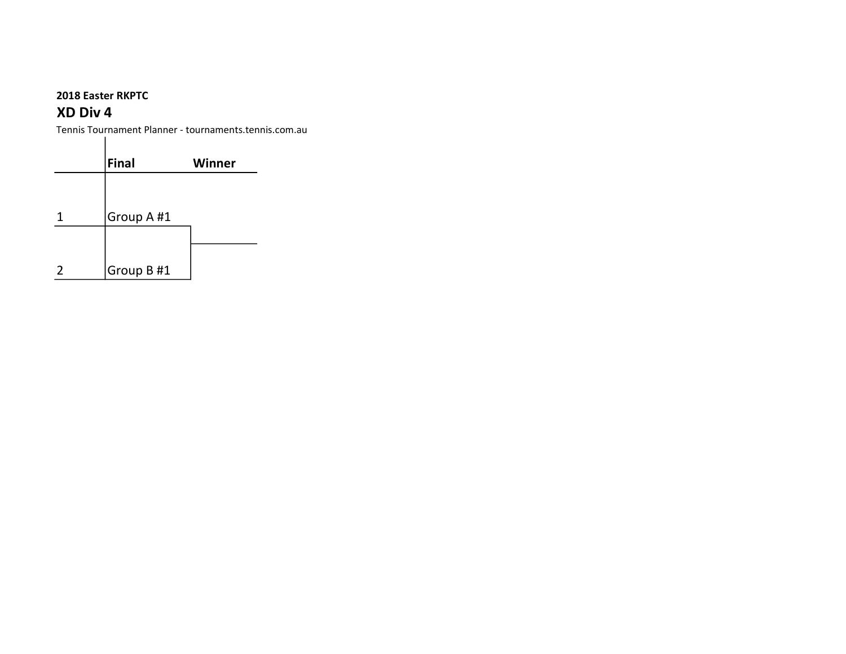### XD Div 4

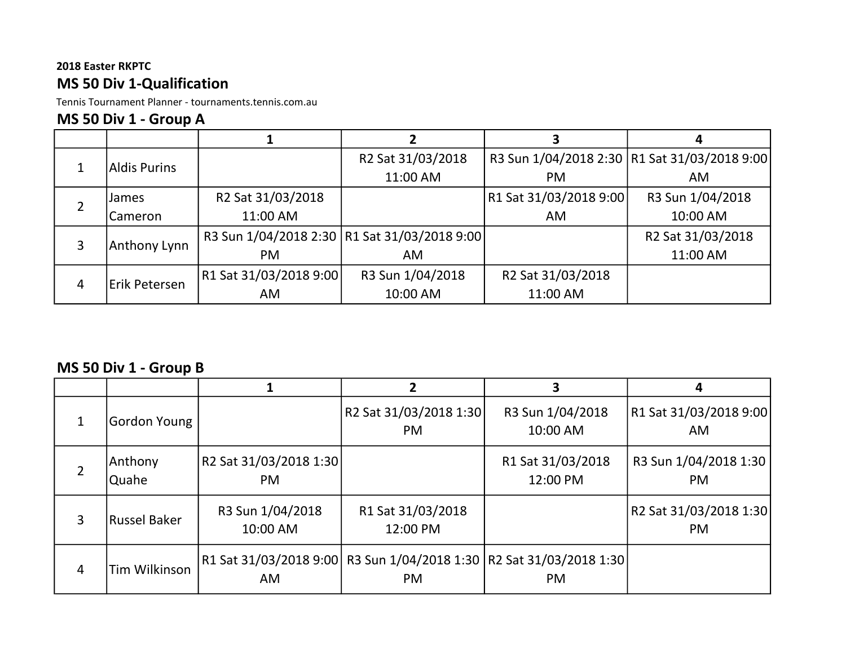## 2018 Easter RKPTC MS 50 Div 1-Qualification

Tennis Tournament Planner - tournaments.tennis.com.au

# MS 50 Div 1 - Group A

|   | <b>Aldis Purins</b>   |                        | R2 Sat 31/03/2018                              |                        | R3 Sun 1/04/2018 2:30   R1 Sat 31/03/2018 9:00 |
|---|-----------------------|------------------------|------------------------------------------------|------------------------|------------------------------------------------|
|   |                       |                        | 11:00 AM                                       | <b>PM</b>              | <b>AM</b>                                      |
|   | James                 | R2 Sat 31/03/2018      |                                                | R1 Sat 31/03/2018 9:00 | R3 Sun 1/04/2018                               |
|   | Cameron               | 11:00 AM               |                                                | AM                     | 10:00 AM                                       |
| 3 | Anthony Lynn          |                        | R3 Sun 1/04/2018 2:30   R1 Sat 31/03/2018 9:00 |                        | R2 Sat 31/03/2018                              |
|   |                       | PM.                    | AM.                                            |                        | 11:00 AM                                       |
| 4 | <b>IErik Petersen</b> | R1 Sat 31/03/2018 9:00 | R3 Sun 1/04/2018                               | R2 Sat 31/03/2018      |                                                |
|   |                       | AM                     | 10:00 AM                                       | 11:00 AM               |                                                |

# MS 50 Div 1 - Group B

|   | Gordon Young        |                                          | R2 Sat 31/03/2018 1:30<br><b>PM</b> | R3 Sun 1/04/2018<br>10:00 AM                                                     | R1 Sat 31/03/2018 9:00 <br>AM       |
|---|---------------------|------------------------------------------|-------------------------------------|----------------------------------------------------------------------------------|-------------------------------------|
| 2 | Anthony<br>Quahe    | R <sub>2</sub> Sat 31/03/2018 1:30<br>PM |                                     | R1 Sat 31/03/2018<br>12:00 PM                                                    | R3 Sun 1/04/2018 1:30<br><b>PM</b>  |
| 3 | <b>Russel Baker</b> | R3 Sun 1/04/2018<br>10:00 AM             | R1 Sat 31/03/2018<br>12:00 PM       |                                                                                  | R2 Sat 31/03/2018 1:30<br><b>PM</b> |
| 4 | Tim Wilkinson       | AM                                       | <b>PM</b>                           | R1 Sat 31/03/2018 9:00 R3 Sun 1/04/2018 1:30 R2 Sat 31/03/2018 1:30<br><b>PM</b> |                                     |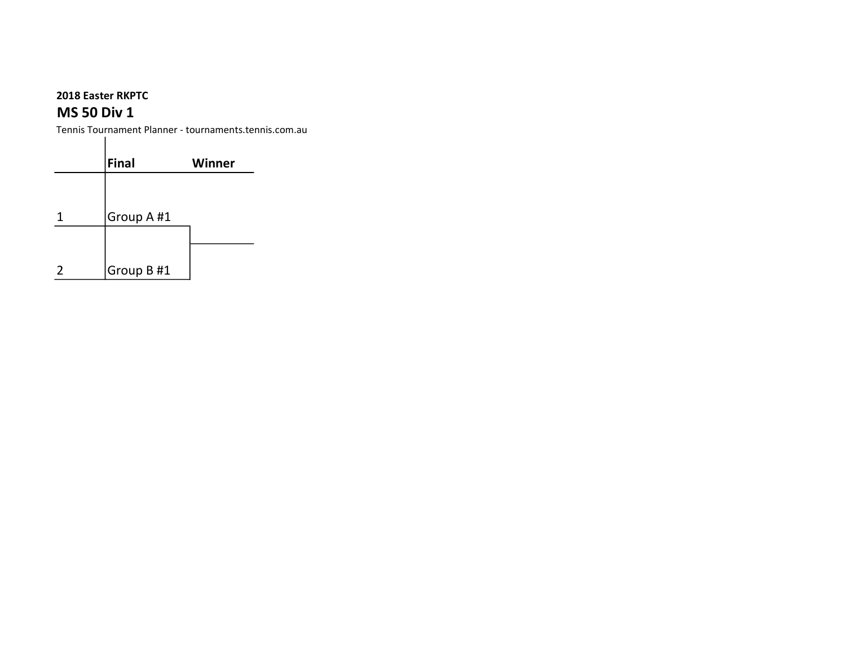## MS 50 Div 1

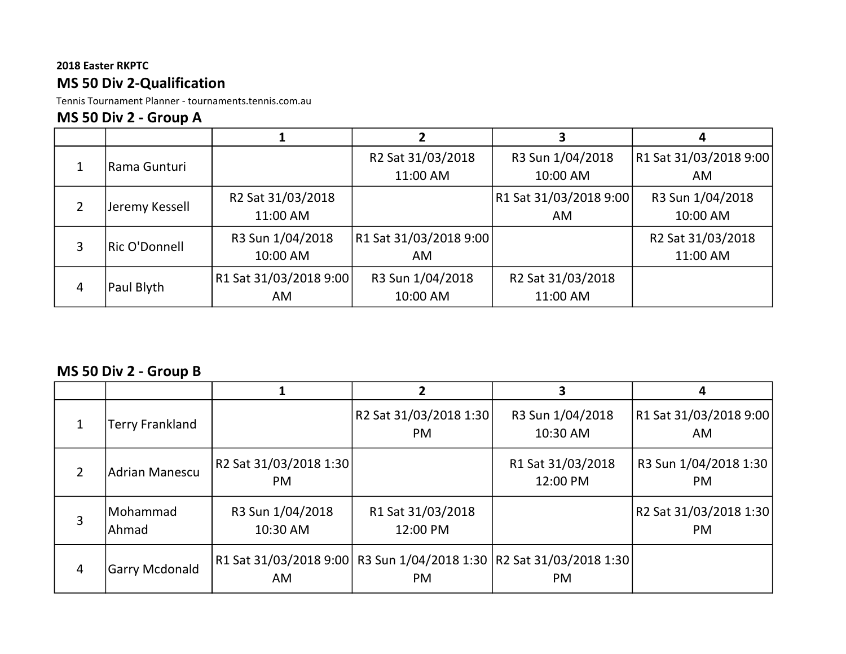## 2018 Easter RKPTC MS 50 Div 2-Qualification

Tennis Tournament Planner - tournaments.tennis.com.au

### MS 50 Div 2 - Group A

|                 | Rama Gunturi           |                   | R2 Sat 31/03/2018      | R3 Sun 1/04/2018       | R1 Sat 31/03/2018 9:00 |
|-----------------|------------------------|-------------------|------------------------|------------------------|------------------------|
|                 |                        |                   | 11:00 AM               | 10:00 AM               | AM                     |
| 2               |                        | R2 Sat 31/03/2018 |                        | R1 Sat 31/03/2018 9:00 | R3 Sun 1/04/2018       |
|                 | Jeremy Kessell         | 11:00 AM          |                        | <b>AM</b>              | 10:00 AM               |
|                 | <b>Ric O'Donnell</b>   | R3 Sun 1/04/2018  | R1 Sat 31/03/2018 9:00 |                        | R2 Sat 31/03/2018      |
| 3               |                        | 10:00 AM          | AM.                    |                        | 11:00 AM               |
| Paul Blyth<br>4 | R1 Sat 31/03/2018 9:00 | R3 Sun 1/04/2018  | R2 Sat 31/03/2018      |                        |                        |
|                 |                        | AM.               | 10:00 AM               | 11:00 AM               |                        |

### MS 50 Div 2 - Group B

|                |                        |                                           |                                                                                  |                               | 4                                   |
|----------------|------------------------|-------------------------------------------|----------------------------------------------------------------------------------|-------------------------------|-------------------------------------|
|                | <b>Terry Frankland</b> |                                           | R2 Sat 31/03/2018 1:30<br><b>PM</b>                                              | R3 Sun 1/04/2018<br>10:30 AM  | R1 Sat 31/03/2018 9:00<br>AM        |
| $\overline{2}$ | <b>Adrian Manescu</b>  | R <sub>2</sub> Sat 31/03/2018 1:30<br>PM. |                                                                                  | R1 Sat 31/03/2018<br>12:00 PM | R3 Sun 1/04/2018 1:30<br><b>PM</b>  |
| 3              | Mohammad<br>Ahmad      | R3 Sun 1/04/2018<br>10:30 AM              | R1 Sat 31/03/2018<br>12:00 PM                                                    |                               | R2 Sat 31/03/2018 1:30<br><b>PM</b> |
| 4              | <b>Garry Mcdonald</b>  | AM.                                       | R1 Sat 31/03/2018 9:00 R3 Sun 1/04/2018 1:30 R2 Sat 31/03/2018 1:30<br><b>PM</b> | <b>PM</b>                     |                                     |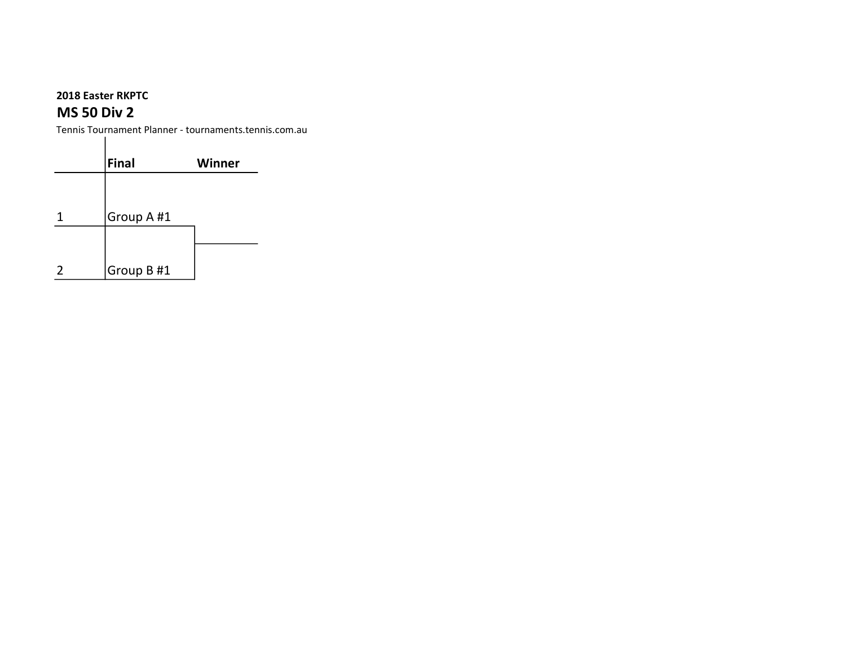$\mathbf{I}$ 

### MS 50 Div 2

| Final      | <b>Winner</b> |
|------------|---------------|
|            |               |
| Group A #1 |               |
|            |               |
| Group B #1 |               |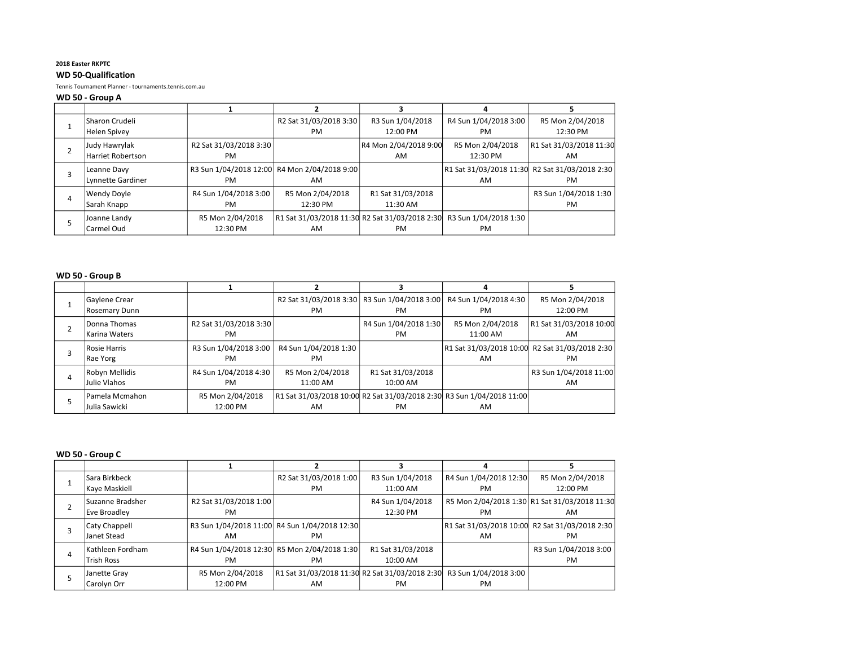#### WD 50-Qualification

Tennis Tournament Planner - tournaments.tennis.com.au

#### WD 50 - Group A

|   | <b>Sharon Crudeli</b><br>Helen Spivey |                              | R2 Sat 31/03/2018 3:30<br><b>PM</b>                  | R3 Sun 1/04/2018<br>12:00 PM  | R4 Sun 1/04/2018 3:00<br><b>PM</b> | R5 Mon 2/04/2018<br>12:30 PM                         |
|---|---------------------------------------|------------------------------|------------------------------------------------------|-------------------------------|------------------------------------|------------------------------------------------------|
|   | Judy Hawrylak<br>Harriet Robertson    | R2 Sat 31/03/2018 3:30<br>PM |                                                      | R4 Mon 2/04/2018 9:00<br>AM   | R5 Mon 2/04/2018<br>12:30 PM       | R1 Sat 31/03/2018 11:30<br>AM                        |
|   | Leanne Davv<br>Lynnette Gardiner      | PM                           | R3 Sun 1/04/2018 12:00 R4 Mon 2/04/2018 9:00<br>AM   |                               | AM                                 | R1 Sat 31/03/2018 11:30 R2 Sat 31/03/2018 2:30<br>PM |
| 4 | <b>Wendy Doyle</b><br>Sarah Knapp     | R4 Sun 1/04/2018 3:00<br>PM  | R5 Mon 2/04/2018<br>12:30 PM                         | R1 Sat 31/03/2018<br>11:30 AM |                                    | R3 Sun 1/04/2018 1:30<br>PM                          |
|   | Joanne Landy<br>Carmel Oud            | R5 Mon 2/04/2018<br>12:30 PM | R1 Sat 31/03/2018 11:30 R2 Sat 31/03/2018 2:30<br>AM | <b>PM</b>                     | R3 Sun 1/04/2018 1:30<br>PM        |                                                      |

#### WD 50 - Group B

| Gaylene Crear<br><b>Rosemary Dunn</b> |                                     | R2 Sat 31/03/2018 3:30   R3 Sun 1/04/2018 3:00<br><b>PM</b> | <b>PM</b>                          | R4 Sun 1/04/2018 4:30<br><b>PM</b>                                             | R5 Mon 2/04/2018<br>12:00 PM                         |
|---------------------------------------|-------------------------------------|-------------------------------------------------------------|------------------------------------|--------------------------------------------------------------------------------|------------------------------------------------------|
| Donna Thomas<br>Karina Waters         | R2 Sat 31/03/2018 3:30<br><b>PM</b> |                                                             | R4 Sun 1/04/2018 1:30<br><b>PM</b> | R5 Mon 2/04/2018<br>11:00 AM                                                   | R1 Sat 31/03/2018 10:00<br>AM                        |
| Rosie Harris<br>Rae Yorg              | R3 Sun 1/04/2018 3:00<br><b>PM</b>  | R4 Sun 1/04/2018 1:30<br><b>PM</b>                          |                                    | AM                                                                             | R1 Sat 31/03/2018 10:00 R2 Sat 31/03/2018 2:30<br>PM |
| Robyn Mellidis<br>Julie Vlahos        | R4 Sun 1/04/2018 4:30<br><b>PM</b>  | R5 Mon 2/04/2018<br>11:00 AM                                | R1 Sat 31/03/2018<br>$10:00$ AM    |                                                                                | R3 Sun 1/04/2018 11:00<br>AM                         |
| Pamela Mcmahon<br>Julia Sawicki       | R5 Mon 2/04/2018<br>12:00 PM        | AM                                                          | <b>PM</b>                          | R1 Sat 31/03/2018 10:00  R2 Sat 31/03/2018 2:30  R3 Sun 1/04/2018 11:00 <br>AM |                                                      |

#### WD 50 - Group C

|   | l Sara Birkbeck   |                        | R2 Sat 31/03/2018 1:00                         | R3 Sun 1/04/2018  | R4 Sun 1/04/2018 12:30 | R5 Mon 2/04/2018                               |
|---|-------------------|------------------------|------------------------------------------------|-------------------|------------------------|------------------------------------------------|
|   | Kaye Maskiell     |                        | PM                                             | 11:00 AM          | PM                     | 12:00 PM                                       |
|   | Suzanne Bradsher  | R2 Sat 31/03/2018 1:00 |                                                | R4 Sun 1/04/2018  |                        | R5 Mon 2/04/2018 1:30 R1 Sat 31/03/2018 11:30  |
|   | Eve Broadlev      | <b>PM</b>              |                                                | 12:30 PM          | PM                     | AM                                             |
| 3 | Caty Chappell     |                        | R3 Sun 1/04/2018 11:00 R4 Sun 1/04/2018 12:30  |                   |                        | R1 Sat 31/03/2018 10:00 R2 Sat 31/03/2018 2:30 |
|   | Janet Stead       | AM                     | PM                                             |                   | AM                     | PM                                             |
| 4 | lKathleen Fordham |                        | R4 Sun 1/04/2018 12:30 R5 Mon 2/04/2018 1:30   | R1 Sat 31/03/2018 |                        | R3 Sun 1/04/2018 3:00                          |
|   | <b>Trish Ross</b> | <b>PM</b>              | PM                                             | 10:00 AM          |                        | PM                                             |
|   | Janette Gray      | R5 Mon 2/04/2018       | R1 Sat 31/03/2018 11:30 R2 Sat 31/03/2018 2:30 |                   | R3 Sun 1/04/2018 3:00  |                                                |
|   | Carolyn Orr       | 12:00 PM               | AM                                             | PM                | PM                     |                                                |